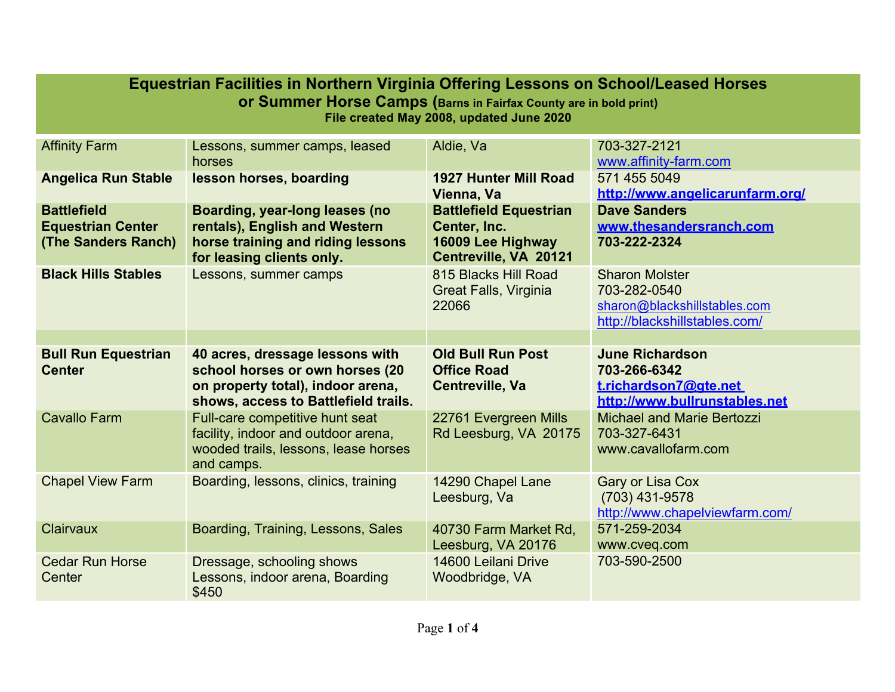| Equestrian Facilities in Northern Virginia Offering Lessons on School/Leased Horses<br><b>or Summer Horse Camps (Barns in Fairfax County are in bold print)</b><br>File created May 2008, updated June 2020 |                                                                                                                                                 |                                                                                             |                                                                                                        |  |  |
|-------------------------------------------------------------------------------------------------------------------------------------------------------------------------------------------------------------|-------------------------------------------------------------------------------------------------------------------------------------------------|---------------------------------------------------------------------------------------------|--------------------------------------------------------------------------------------------------------|--|--|
| <b>Affinity Farm</b>                                                                                                                                                                                        | Lessons, summer camps, leased<br>horses                                                                                                         | Aldie, Va                                                                                   | 703-327-2121<br>www.affinity-farm.com                                                                  |  |  |
| <b>Angelica Run Stable</b>                                                                                                                                                                                  | lesson horses, boarding                                                                                                                         | <b>1927 Hunter Mill Road</b><br>Vienna, Va                                                  | 571 455 5049<br>http://www.angelicarunfarm.org/                                                        |  |  |
| <b>Battlefield</b><br><b>Equestrian Center</b><br>(The Sanders Ranch)                                                                                                                                       | <b>Boarding, year-long leases (no</b><br>rentals), English and Western<br>horse training and riding lessons<br>for leasing clients only.        | <b>Battlefield Equestrian</b><br>Center, Inc.<br>16009 Lee Highway<br>Centreville, VA 20121 | <b>Dave Sanders</b><br>www.thesandersranch.com<br>703-222-2324                                         |  |  |
| <b>Black Hills Stables</b>                                                                                                                                                                                  | Lessons, summer camps                                                                                                                           | 815 Blacks Hill Road<br><b>Great Falls, Virginia</b><br>22066                               | <b>Sharon Molster</b><br>703-282-0540<br>sharon@blackshillstables.com<br>http://blackshillstables.com/ |  |  |
|                                                                                                                                                                                                             |                                                                                                                                                 |                                                                                             |                                                                                                        |  |  |
| <b>Bull Run Equestrian</b><br><b>Center</b>                                                                                                                                                                 | 40 acres, dressage lessons with<br>school horses or own horses (20<br>on property total), indoor arena,<br>shows, access to Battlefield trails. | <b>Old Bull Run Post</b><br><b>Office Road</b><br><b>Centreville, Va</b>                    | <b>June Richardson</b><br>703-266-6342<br>t.richardson7@gte.net<br>http://www.bullrunstables.net       |  |  |
| <b>Cavallo Farm</b>                                                                                                                                                                                         | Full-care competitive hunt seat<br>facility, indoor and outdoor arena,<br>wooded trails, lessons, lease horses<br>and camps.                    | 22761 Evergreen Mills<br>Rd Leesburg, VA 20175                                              | <b>Michael and Marie Bertozzi</b><br>703-327-6431<br>www.cavallofarm.com                               |  |  |
| <b>Chapel View Farm</b>                                                                                                                                                                                     | Boarding, lessons, clinics, training                                                                                                            | 14290 Chapel Lane<br>Leesburg, Va                                                           | <b>Gary or Lisa Cox</b><br>(703) 431-9578<br>http://www.chapelviewfarm.com/                            |  |  |
| Clairvaux                                                                                                                                                                                                   | Boarding, Training, Lessons, Sales                                                                                                              | 40730 Farm Market Rd,<br>Leesburg, VA 20176                                                 | 571-259-2034<br>www.cveq.com                                                                           |  |  |
| <b>Cedar Run Horse</b><br>Center                                                                                                                                                                            | Dressage, schooling shows<br>Lessons, indoor arena, Boarding<br>\$450                                                                           | 14600 Leilani Drive<br>Woodbridge, VA                                                       | 703-590-2500                                                                                           |  |  |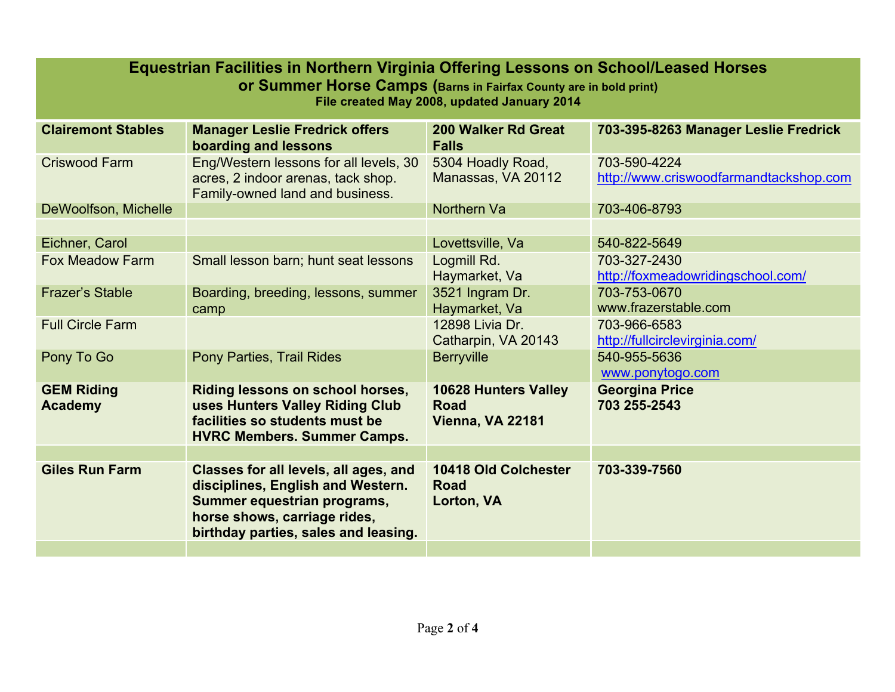| Equestrian Facilities in Northern Virginia Offering Lessons on School/Leased Horses<br><b>or Summer Horse Camps (Barns in Fairfax County are in bold print)</b><br>File created May 2008, updated January 2014 |                                                                                                                                                                                   |                                                                       |                                                        |  |  |
|----------------------------------------------------------------------------------------------------------------------------------------------------------------------------------------------------------------|-----------------------------------------------------------------------------------------------------------------------------------------------------------------------------------|-----------------------------------------------------------------------|--------------------------------------------------------|--|--|
| <b>Clairemont Stables</b>                                                                                                                                                                                      | <b>Manager Leslie Fredrick offers</b><br>boarding and lessons                                                                                                                     | <b>200 Walker Rd Great</b><br><b>Falls</b>                            | 703-395-8263 Manager Leslie Fredrick                   |  |  |
| <b>Criswood Farm</b>                                                                                                                                                                                           | Eng/Western lessons for all levels, 30<br>acres, 2 indoor arenas, tack shop.<br>Family-owned land and business.                                                                   | 5304 Hoadly Road,<br>Manassas, VA 20112                               | 703-590-4224<br>http://www.criswoodfarmandtackshop.com |  |  |
| DeWoolfson, Michelle                                                                                                                                                                                           |                                                                                                                                                                                   | <b>Northern Va</b>                                                    | 703-406-8793                                           |  |  |
|                                                                                                                                                                                                                |                                                                                                                                                                                   |                                                                       |                                                        |  |  |
| Eichner, Carol                                                                                                                                                                                                 |                                                                                                                                                                                   | Lovettsville, Va                                                      | 540-822-5649                                           |  |  |
| <b>Fox Meadow Farm</b>                                                                                                                                                                                         | Small lesson barn; hunt seat lessons                                                                                                                                              | Logmill Rd.<br>Haymarket, Va                                          | 703-327-2430<br>http://foxmeadowridingschool.com/      |  |  |
| <b>Frazer's Stable</b>                                                                                                                                                                                         | Boarding, breeding, lessons, summer<br>camp                                                                                                                                       | 3521 Ingram Dr.<br>Haymarket, Va                                      | 703-753-0670<br>www.frazerstable.com                   |  |  |
| <b>Full Circle Farm</b>                                                                                                                                                                                        |                                                                                                                                                                                   | 12898 Livia Dr.<br>Catharpin, VA 20143                                | 703-966-6583<br>http://fullcirclevirginia.com/         |  |  |
| Pony To Go                                                                                                                                                                                                     | <b>Pony Parties, Trail Rides</b>                                                                                                                                                  | <b>Berryville</b>                                                     | 540-955-5636<br>www.ponytogo.com                       |  |  |
| <b>GEM Riding</b><br><b>Academy</b>                                                                                                                                                                            | Riding lessons on school horses,<br>uses Hunters Valley Riding Club<br>facilities so students must be<br><b>HVRC Members. Summer Camps.</b>                                       | <b>10628 Hunters Valley</b><br><b>Road</b><br><b>Vienna, VA 22181</b> | <b>Georgina Price</b><br>703 255-2543                  |  |  |
|                                                                                                                                                                                                                |                                                                                                                                                                                   |                                                                       |                                                        |  |  |
| <b>Giles Run Farm</b>                                                                                                                                                                                          | Classes for all levels, all ages, and<br>disciplines, English and Western.<br>Summer equestrian programs,<br>horse shows, carriage rides,<br>birthday parties, sales and leasing. | <b>10418 Old Colchester</b><br><b>Road</b><br>Lorton, VA              | 703-339-7560                                           |  |  |
|                                                                                                                                                                                                                |                                                                                                                                                                                   |                                                                       |                                                        |  |  |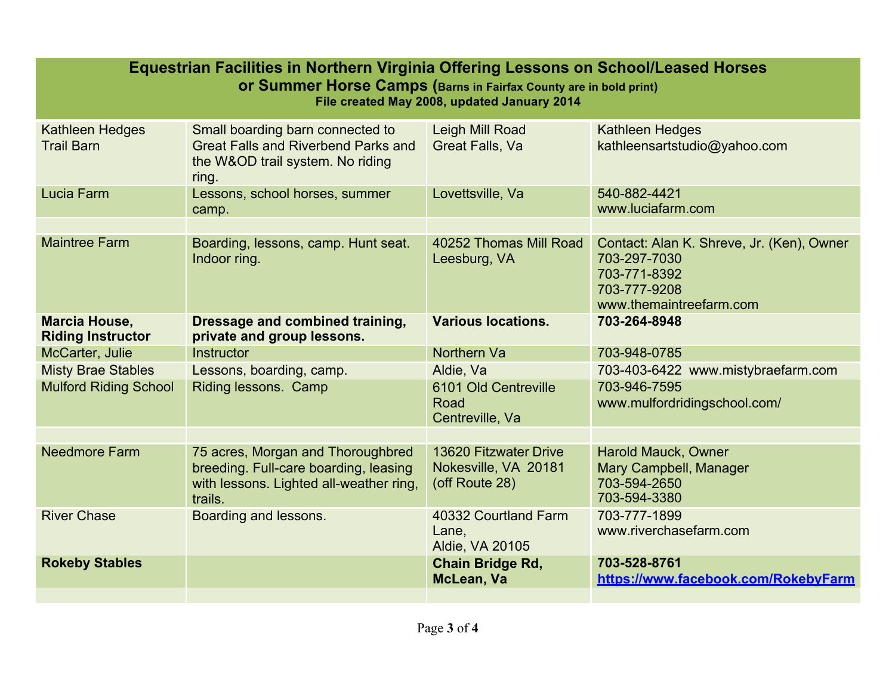| Equestrian Facilities in Northern Virginia Offering Lessons on School/Leased Horses<br><b>Or Summer Horse Camps (Barns in Fairfax County are in bold print)</b><br>File created May 2008, updated January 2014 |                                                                                                                                  |                                                                        |                                                                                                                      |  |  |
|----------------------------------------------------------------------------------------------------------------------------------------------------------------------------------------------------------------|----------------------------------------------------------------------------------------------------------------------------------|------------------------------------------------------------------------|----------------------------------------------------------------------------------------------------------------------|--|--|
| Kathleen Hedges<br><b>Trail Barn</b>                                                                                                                                                                           | Small boarding barn connected to<br><b>Great Falls and Riverbend Parks and</b><br>the W&OD trail system. No riding<br>ring.      | Leigh Mill Road<br><b>Great Falls, Va</b>                              | Kathleen Hedges<br>kathleensartstudio@yahoo.com                                                                      |  |  |
| Lucia Farm                                                                                                                                                                                                     | Lessons, school horses, summer<br>camp.                                                                                          | Lovettsville, Va                                                       | 540-882-4421<br>www.luciafarm.com                                                                                    |  |  |
|                                                                                                                                                                                                                |                                                                                                                                  |                                                                        |                                                                                                                      |  |  |
| <b>Maintree Farm</b>                                                                                                                                                                                           | Boarding, lessons, camp. Hunt seat.<br>Indoor ring.                                                                              | 40252 Thomas Mill Road<br>Leesburg, VA                                 | Contact: Alan K. Shreve, Jr. (Ken), Owner<br>703-297-7030<br>703-771-8392<br>703-777-9208<br>www.themaintreefarm.com |  |  |
| <b>Marcia House,</b><br><b>Riding Instructor</b>                                                                                                                                                               | Dressage and combined training,<br>private and group lessons.                                                                    | <b>Various locations.</b>                                              | 703-264-8948                                                                                                         |  |  |
| McCarter, Julie                                                                                                                                                                                                | Instructor                                                                                                                       | <b>Northern Va</b>                                                     | 703-948-0785                                                                                                         |  |  |
| <b>Misty Brae Stables</b>                                                                                                                                                                                      | Lessons, boarding, camp.                                                                                                         | Aldie, Va                                                              | 703-403-6422 www.mistybraefarm.com                                                                                   |  |  |
| <b>Mulford Riding School</b>                                                                                                                                                                                   | Riding lessons. Camp                                                                                                             | 6101 Old Centreville<br>Road<br>Centreville, Va                        | 703-946-7595<br>www.mulfordridingschool.com/                                                                         |  |  |
|                                                                                                                                                                                                                |                                                                                                                                  |                                                                        |                                                                                                                      |  |  |
| <b>Needmore Farm</b>                                                                                                                                                                                           | 75 acres, Morgan and Thoroughbred<br>breeding. Full-care boarding, leasing<br>with lessons. Lighted all-weather ring,<br>trails. | <b>13620 Fitzwater Drive</b><br>Nokesville, VA 20181<br>(off Route 28) | Harold Mauck, Owner<br>Mary Campbell, Manager<br>703-594-2650<br>703-594-3380                                        |  |  |
| <b>River Chase</b>                                                                                                                                                                                             | Boarding and lessons.                                                                                                            | 40332 Courtland Farm<br>Lane,<br>Aldie, VA 20105                       | 703-777-1899<br>www.riverchasefarm.com                                                                               |  |  |
| <b>Rokeby Stables</b>                                                                                                                                                                                          |                                                                                                                                  | <b>Chain Bridge Rd,</b><br>McLean, Va                                  | 703-528-8761<br>https://www.facebook.com/RokebyFarm                                                                  |  |  |
|                                                                                                                                                                                                                |                                                                                                                                  |                                                                        |                                                                                                                      |  |  |